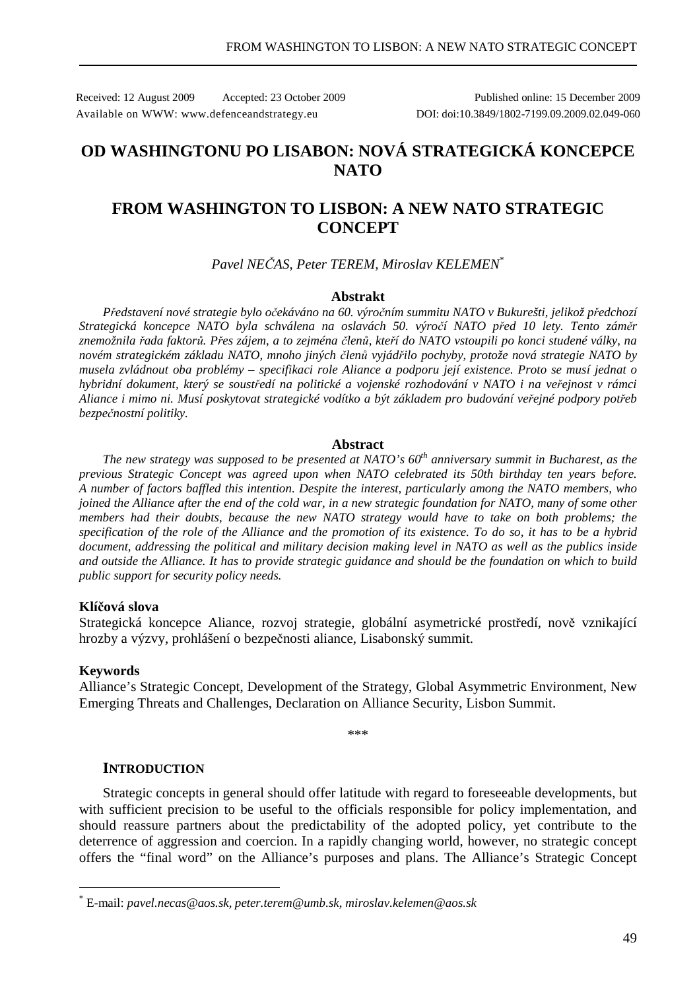Received: 12 August 2009 Accepted: 23 October 2009 Published online: 15 December 2009 Available on WWW: www.defenceandstrategy.eu DOI: doi:10.3849/1802-7199.09.2009.02.049-060

# **OD WASHINGTONU PO LISABON: NOVÁ STRATEGICKÁ KONCEPCE NATO**

## **FROM WASHINGTON TO LISBON: A NEW NATO STRATEGIC CONCEPT**

## *Pavel NEČAS, Peter TEREM, Miroslav KELEMEN*\*

#### **Abstrakt**

*Představení nové strategie bylo očekáváno na 60. výročním summitu NATO v Bukurešti, jelikož předchozí Strategická koncepce NATO byla schválena na oslavách 50. výročí NATO před 10 lety. Tento záměr znemožnila řada faktorů. Přes zájem, a to zejména členů, kteří do NATO vstoupili po konci studené války, na novém strategickém základu NATO, mnoho jiných členů vyjádřilo pochyby, protože nová strategie NATO by musela zvládnout oba problémy – specifikaci role Aliance a podporu její existence. Proto se musí jednat o hybridní dokument, který se soustředí na politické a vojenské rozhodování v NATO i na veřejnost v rámci Aliance i mimo ni. Musí poskytovat strategické vodítko a být základem pro budování veřejné podpory potřeb bezpečnostní politiky.* 

#### **Abstract**

*The new strategy was supposed to be presented at NATO's 60th anniversary summit in Bucharest, as the previous Strategic Concept was agreed upon when NATO celebrated its 50th birthday ten years before. A number of factors baffled this intention. Despite the interest, particularly among the NATO members, who joined the Alliance after the end of the cold war, in a new strategic foundation for NATO, many of some other members had their doubts, because the new NATO strategy would have to take on both problems; the specification of the role of the Alliance and the promotion of its existence. To do so, it has to be a hybrid document, addressing the political and military decision making level in NATO as well as the publics inside and outside the Alliance. It has to provide strategic guidance and should be the foundation on which to build public support for security policy needs.*

#### **Klíčová slova**

Strategická koncepce Aliance, rozvoj strategie, globální asymetrické prostředí, nově vznikající hrozby a výzvy, prohlášení o bezpečnosti aliance, Lisabonský summit.

#### **Keywords**

 $\overline{a}$ 

Alliance's Strategic Concept, Development of the Strategy, Global Asymmetric Environment, New Emerging Threats and Challenges, Declaration on Alliance Security, Lisbon Summit.

\*\*\*

## **INTRODUCTION**

Strategic concepts in general should offer latitude with regard to foreseeable developments, but with sufficient precision to be useful to the officials responsible for policy implementation, and should reassure partners about the predictability of the adopted policy, yet contribute to the deterrence of aggression and coercion. In a rapidly changing world, however, no strategic concept offers the "final word" on the Alliance's purposes and plans. The Alliance's Strategic Concept

<sup>\*</sup> E-mail: *pavel.necas@aos.sk, peter.terem@umb.sk, miroslav.kelemen@aos.sk*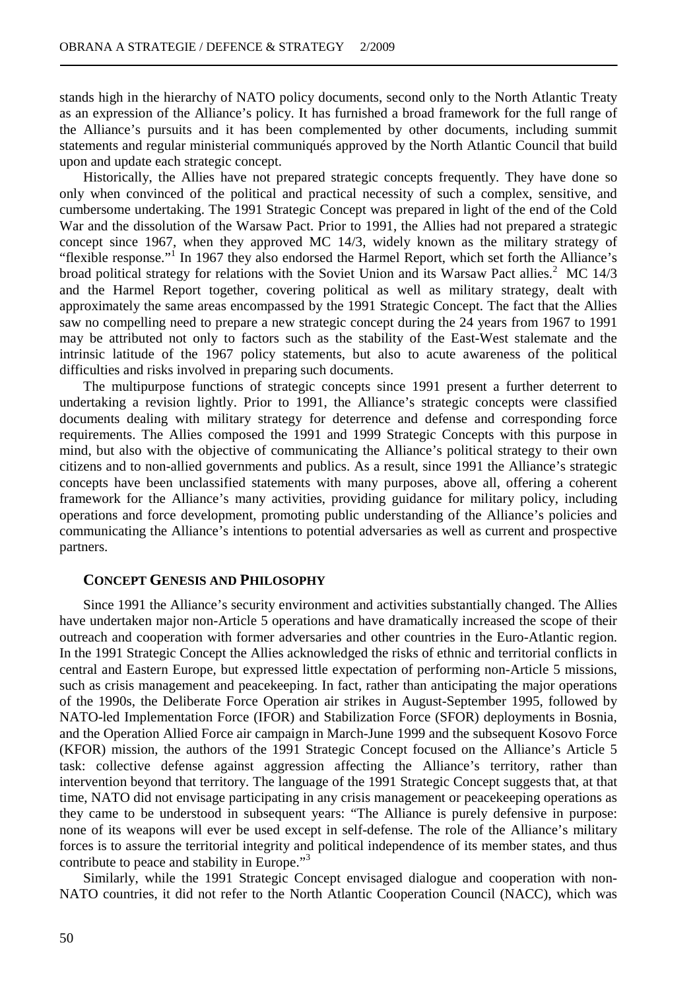stands high in the hierarchy of NATO policy documents, second only to the North Atlantic Treaty as an expression of the Alliance's policy. It has furnished a broad framework for the full range of the Alliance's pursuits and it has been complemented by other documents, including summit statements and regular ministerial communiqués approved by the North Atlantic Council that build upon and update each strategic concept.

Historically, the Allies have not prepared strategic concepts frequently. They have done so only when convinced of the political and practical necessity of such a complex, sensitive, and cumbersome undertaking. The 1991 Strategic Concept was prepared in light of the end of the Cold War and the dissolution of the Warsaw Pact. Prior to 1991, the Allies had not prepared a strategic concept since 1967, when they approved MC 14/3, widely known as the military strategy of "flexible response."<sup>1</sup> In 1967 they also endorsed the Harmel Report, which set forth the Alliance's broad political strategy for relations with the Soviet Union and its Warsaw Pact allies.<sup>2</sup> MC 14/3 and the Harmel Report together, covering political as well as military strategy, dealt with approximately the same areas encompassed by the 1991 Strategic Concept. The fact that the Allies saw no compelling need to prepare a new strategic concept during the 24 years from 1967 to 1991 may be attributed not only to factors such as the stability of the East-West stalemate and the intrinsic latitude of the 1967 policy statements, but also to acute awareness of the political difficulties and risks involved in preparing such documents.

The multipurpose functions of strategic concepts since 1991 present a further deterrent to undertaking a revision lightly. Prior to 1991, the Alliance's strategic concepts were classified documents dealing with military strategy for deterrence and defense and corresponding force requirements. The Allies composed the 1991 and 1999 Strategic Concepts with this purpose in mind, but also with the objective of communicating the Alliance's political strategy to their own citizens and to non-allied governments and publics. As a result, since 1991 the Alliance's strategic concepts have been unclassified statements with many purposes, above all, offering a coherent framework for the Alliance's many activities, providing guidance for military policy, including operations and force development, promoting public understanding of the Alliance's policies and communicating the Alliance's intentions to potential adversaries as well as current and prospective partners.

#### **CONCEPT GENESIS AND PHILOSOPHY**

Since 1991 the Alliance's security environment and activities substantially changed. The Allies have undertaken major non-Article 5 operations and have dramatically increased the scope of their outreach and cooperation with former adversaries and other countries in the Euro-Atlantic region. In the 1991 Strategic Concept the Allies acknowledged the risks of ethnic and territorial conflicts in central and Eastern Europe, but expressed little expectation of performing non-Article 5 missions, such as crisis management and peacekeeping. In fact, rather than anticipating the major operations of the 1990s, the Deliberate Force Operation air strikes in August-September 1995, followed by NATO-led Implementation Force (IFOR) and Stabilization Force (SFOR) deployments in Bosnia, and the Operation Allied Force air campaign in March-June 1999 and the subsequent Kosovo Force (KFOR) mission, the authors of the 1991 Strategic Concept focused on the Alliance's Article 5 task: collective defense against aggression affecting the Alliance's territory, rather than intervention beyond that territory. The language of the 1991 Strategic Concept suggests that, at that time, NATO did not envisage participating in any crisis management or peacekeeping operations as they came to be understood in subsequent years: "The Alliance is purely defensive in purpose: none of its weapons will ever be used except in self-defense. The role of the Alliance's military forces is to assure the territorial integrity and political independence of its member states, and thus contribute to peace and stability in Europe."<sup>3</sup>

Similarly, while the 1991 Strategic Concept envisaged dialogue and cooperation with non-NATO countries, it did not refer to the North Atlantic Cooperation Council (NACC), which was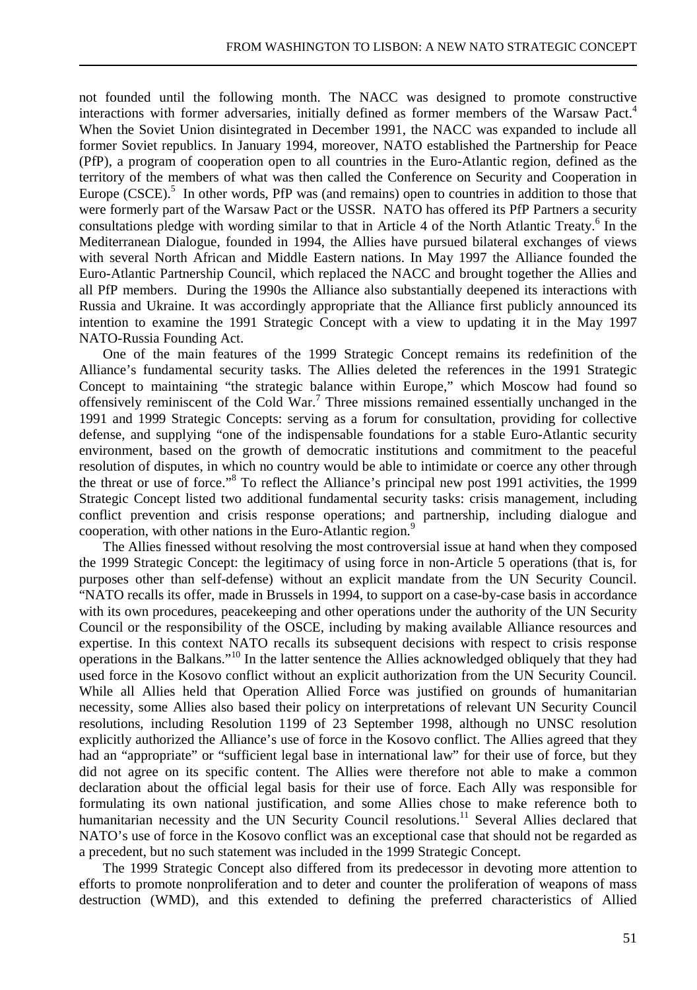not founded until the following month. The NACC was designed to promote constructive interactions with former adversaries, initially defined as former members of the Warsaw Pact.<sup>4</sup> When the Soviet Union disintegrated in December 1991, the NACC was expanded to include all former Soviet republics. In January 1994, moreover, NATO established the Partnership for Peace (PfP), a program of cooperation open to all countries in the Euro-Atlantic region, defined as the territory of the members of what was then called the Conference on Security and Cooperation in Europe  $(CSCE)$ <sup>5</sup>. In other words, PfP was (and remains) open to countries in addition to those that were formerly part of the Warsaw Pact or the USSR. NATO has offered its PfP Partners a security consultations pledge with wording similar to that in Article 4 of the North Atlantic Treaty.<sup>6</sup> In the Mediterranean Dialogue, founded in 1994, the Allies have pursued bilateral exchanges of views with several North African and Middle Eastern nations. In May 1997 the Alliance founded the Euro-Atlantic Partnership Council, which replaced the NACC and brought together the Allies and all PfP members. During the 1990s the Alliance also substantially deepened its interactions with Russia and Ukraine. It was accordingly appropriate that the Alliance first publicly announced its intention to examine the 1991 Strategic Concept with a view to updating it in the May 1997 NATO-Russia Founding Act.

One of the main features of the 1999 Strategic Concept remains its redefinition of the Alliance's fundamental security tasks. The Allies deleted the references in the 1991 Strategic Concept to maintaining "the strategic balance within Europe," which Moscow had found so offensively reminiscent of the Cold War.<sup>7</sup> Three missions remained essentially unchanged in the 1991 and 1999 Strategic Concepts: serving as a forum for consultation, providing for collective defense, and supplying "one of the indispensable foundations for a stable Euro-Atlantic security environment, based on the growth of democratic institutions and commitment to the peaceful resolution of disputes, in which no country would be able to intimidate or coerce any other through the threat or use of force."<sup>8</sup> To reflect the Alliance's principal new post 1991 activities, the 1999 Strategic Concept listed two additional fundamental security tasks: crisis management, including conflict prevention and crisis response operations; and partnership, including dialogue and cooperation, with other nations in the Euro-Atlantic region.<sup>9</sup>

The Allies finessed without resolving the most controversial issue at hand when they composed the 1999 Strategic Concept: the legitimacy of using force in non-Article 5 operations (that is, for purposes other than self-defense) without an explicit mandate from the UN Security Council. "NATO recalls its offer, made in Brussels in 1994, to support on a case-by-case basis in accordance with its own procedures, peacekeeping and other operations under the authority of the UN Security Council or the responsibility of the OSCE, including by making available Alliance resources and expertise. In this context NATO recalls its subsequent decisions with respect to crisis response operations in the Balkans."<sup>10</sup> In the latter sentence the Allies acknowledged obliquely that they had used force in the Kosovo conflict without an explicit authorization from the UN Security Council. While all Allies held that Operation Allied Force was justified on grounds of humanitarian necessity, some Allies also based their policy on interpretations of relevant UN Security Council resolutions, including Resolution 1199 of 23 September 1998, although no UNSC resolution explicitly authorized the Alliance's use of force in the Kosovo conflict. The Allies agreed that they had an "appropriate" or "sufficient legal base in international law" for their use of force, but they did not agree on its specific content. The Allies were therefore not able to make a common declaration about the official legal basis for their use of force. Each Ally was responsible for formulating its own national justification, and some Allies chose to make reference both to humanitarian necessity and the UN Security Council resolutions.<sup>11</sup> Several Allies declared that NATO's use of force in the Kosovo conflict was an exceptional case that should not be regarded as a precedent, but no such statement was included in the 1999 Strategic Concept.

The 1999 Strategic Concept also differed from its predecessor in devoting more attention to efforts to promote nonproliferation and to deter and counter the proliferation of weapons of mass destruction (WMD), and this extended to defining the preferred characteristics of Allied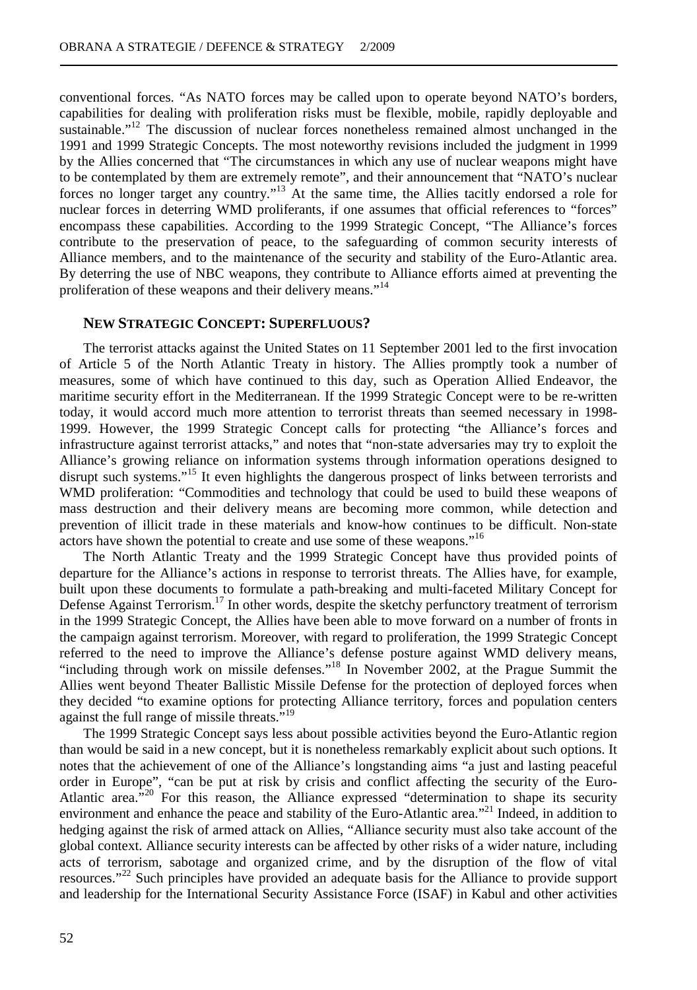conventional forces. "As NATO forces may be called upon to operate beyond NATO's borders, capabilities for dealing with proliferation risks must be flexible, mobile, rapidly deployable and sustainable."<sup>12</sup> The discussion of nuclear forces nonetheless remained almost unchanged in the 1991 and 1999 Strategic Concepts. The most noteworthy revisions included the judgment in 1999 by the Allies concerned that "The circumstances in which any use of nuclear weapons might have to be contemplated by them are extremely remote", and their announcement that "NATO's nuclear forces no longer target any country."<sup>13</sup> At the same time, the Allies tacitly endorsed a role for nuclear forces in deterring WMD proliferants, if one assumes that official references to "forces" encompass these capabilities. According to the 1999 Strategic Concept, "The Alliance's forces contribute to the preservation of peace, to the safeguarding of common security interests of Alliance members, and to the maintenance of the security and stability of the Euro-Atlantic area. By deterring the use of NBC weapons, they contribute to Alliance efforts aimed at preventing the proliferation of these weapons and their delivery means."<sup>14</sup>

#### **NEW STRATEGIC CONCEPT: SUPERFLUOUS?**

The terrorist attacks against the United States on 11 September 2001 led to the first invocation of Article 5 of the North Atlantic Treaty in history. The Allies promptly took a number of measures, some of which have continued to this day, such as Operation Allied Endeavor, the maritime security effort in the Mediterranean. If the 1999 Strategic Concept were to be re-written today, it would accord much more attention to terrorist threats than seemed necessary in 1998- 1999. However, the 1999 Strategic Concept calls for protecting "the Alliance's forces and infrastructure against terrorist attacks," and notes that "non-state adversaries may try to exploit the Alliance's growing reliance on information systems through information operations designed to disrupt such systems."<sup>15</sup> It even highlights the dangerous prospect of links between terrorists and WMD proliferation: "Commodities and technology that could be used to build these weapons of mass destruction and their delivery means are becoming more common, while detection and prevention of illicit trade in these materials and know-how continues to be difficult. Non-state actors have shown the potential to create and use some of these weapons."<sup>16</sup>

The North Atlantic Treaty and the 1999 Strategic Concept have thus provided points of departure for the Alliance's actions in response to terrorist threats. The Allies have, for example, built upon these documents to formulate a path-breaking and multi-faceted Military Concept for Defense Against Terrorism.<sup>17</sup> In other words, despite the sketchy perfunctory treatment of terrorism in the 1999 Strategic Concept, the Allies have been able to move forward on a number of fronts in the campaign against terrorism. Moreover, with regard to proliferation, the 1999 Strategic Concept referred to the need to improve the Alliance's defense posture against WMD delivery means, "including through work on missile defenses."<sup>18</sup> In November 2002, at the Prague Summit the Allies went beyond Theater Ballistic Missile Defense for the protection of deployed forces when they decided "to examine options for protecting Alliance territory, forces and population centers against the full range of missile threats."<sup>19</sup>

The 1999 Strategic Concept says less about possible activities beyond the Euro-Atlantic region than would be said in a new concept, but it is nonetheless remarkably explicit about such options. It notes that the achievement of one of the Alliance's longstanding aims "a just and lasting peaceful order in Europe", "can be put at risk by crisis and conflict affecting the security of the Euro-Atlantic area."<sup>20</sup> For this reason, the Alliance expressed "determination to shape its security environment and enhance the peace and stability of the Euro-Atlantic area.<sup>"21</sup> Indeed, in addition to hedging against the risk of armed attack on Allies, "Alliance security must also take account of the global context. Alliance security interests can be affected by other risks of a wider nature, including acts of terrorism, sabotage and organized crime, and by the disruption of the flow of vital resources."<sup>22</sup> Such principles have provided an adequate basis for the Alliance to provide support and leadership for the International Security Assistance Force (ISAF) in Kabul and other activities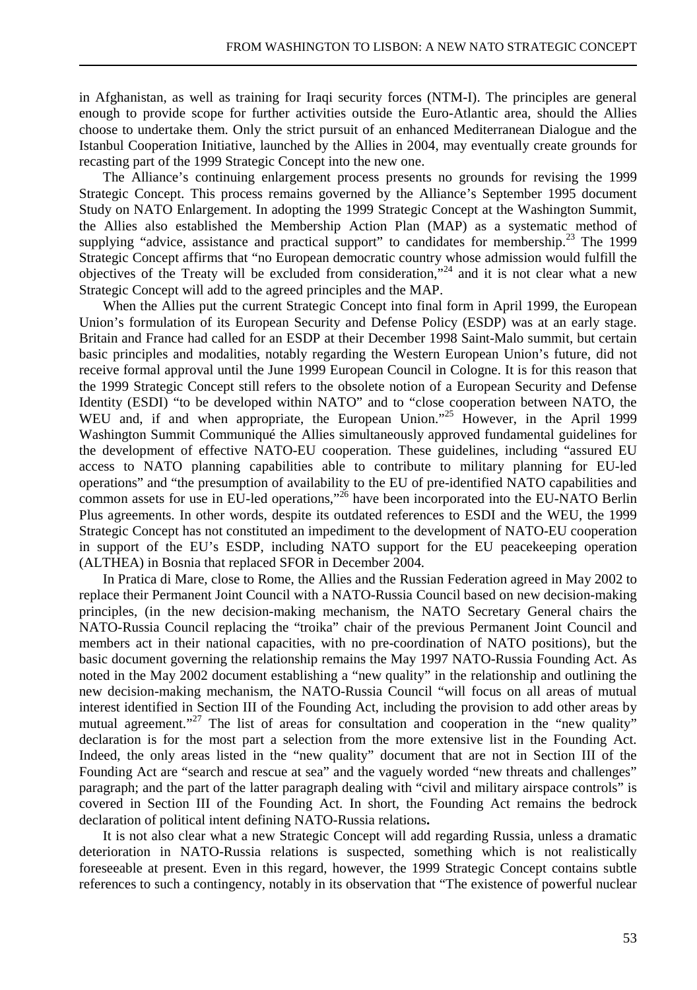in Afghanistan, as well as training for Iraqi security forces (NTM-I). The principles are general enough to provide scope for further activities outside the Euro-Atlantic area, should the Allies choose to undertake them. Only the strict pursuit of an enhanced Mediterranean Dialogue and the Istanbul Cooperation Initiative, launched by the Allies in 2004, may eventually create grounds for recasting part of the 1999 Strategic Concept into the new one.

The Alliance's continuing enlargement process presents no grounds for revising the 1999 Strategic Concept. This process remains governed by the Alliance's September 1995 document Study on NATO Enlargement. In adopting the 1999 Strategic Concept at the Washington Summit, the Allies also established the Membership Action Plan (MAP) as a systematic method of supplying "advice, assistance and practical support" to candidates for membership. $^{23}$  The 1999 Strategic Concept affirms that "no European democratic country whose admission would fulfill the objectives of the Treaty will be excluded from consideration,"<sup>24</sup> and it is not clear what a new Strategic Concept will add to the agreed principles and the MAP.

When the Allies put the current Strategic Concept into final form in April 1999, the European Union's formulation of its European Security and Defense Policy (ESDP) was at an early stage. Britain and France had called for an ESDP at their December 1998 Saint-Malo summit, but certain basic principles and modalities, notably regarding the Western European Union's future, did not receive formal approval until the June 1999 European Council in Cologne. It is for this reason that the 1999 Strategic Concept still refers to the obsolete notion of a European Security and Defense Identity (ESDI) "to be developed within NATO" and to "close cooperation between NATO, the WEU and, if and when appropriate, the European Union."<sup>25</sup> However, in the April 1999 Washington Summit Communiqué the Allies simultaneously approved fundamental guidelines for the development of effective NATO-EU cooperation. These guidelines, including "assured EU access to NATO planning capabilities able to contribute to military planning for EU-led operations" and "the presumption of availability to the EU of pre-identified NATO capabilities and common assets for use in EU-led operations,"<sup>26</sup> have been incorporated into the EU-NATO Berlin Plus agreements. In other words, despite its outdated references to ESDI and the WEU, the 1999 Strategic Concept has not constituted an impediment to the development of NATO-EU cooperation in support of the EU's ESDP, including NATO support for the EU peacekeeping operation (ALTHEA) in Bosnia that replaced SFOR in December 2004.

In Pratica di Mare, close to Rome, the Allies and the Russian Federation agreed in May 2002 to replace their Permanent Joint Council with a NATO-Russia Council based on new decision-making principles, (in the new decision-making mechanism, the NATO Secretary General chairs the NATO-Russia Council replacing the "troika" chair of the previous Permanent Joint Council and members act in their national capacities, with no pre-coordination of NATO positions), but the basic document governing the relationship remains the May 1997 NATO-Russia Founding Act. As noted in the May 2002 document establishing a "new quality" in the relationship and outlining the new decision-making mechanism, the NATO-Russia Council "will focus on all areas of mutual interest identified in Section III of the Founding Act, including the provision to add other areas by mutual agreement."<sup>27</sup> The list of areas for consultation and cooperation in the "new quality" declaration is for the most part a selection from the more extensive list in the Founding Act. Indeed, the only areas listed in the "new quality" document that are not in Section III of the Founding Act are "search and rescue at sea" and the vaguely worded "new threats and challenges" paragraph; and the part of the latter paragraph dealing with "civil and military airspace controls" is covered in Section III of the Founding Act. In short, the Founding Act remains the bedrock declaration of political intent defining NATO-Russia relations**.**

It is not also clear what a new Strategic Concept will add regarding Russia, unless a dramatic deterioration in NATO-Russia relations is suspected, something which is not realistically foreseeable at present. Even in this regard, however, the 1999 Strategic Concept contains subtle references to such a contingency, notably in its observation that "The existence of powerful nuclear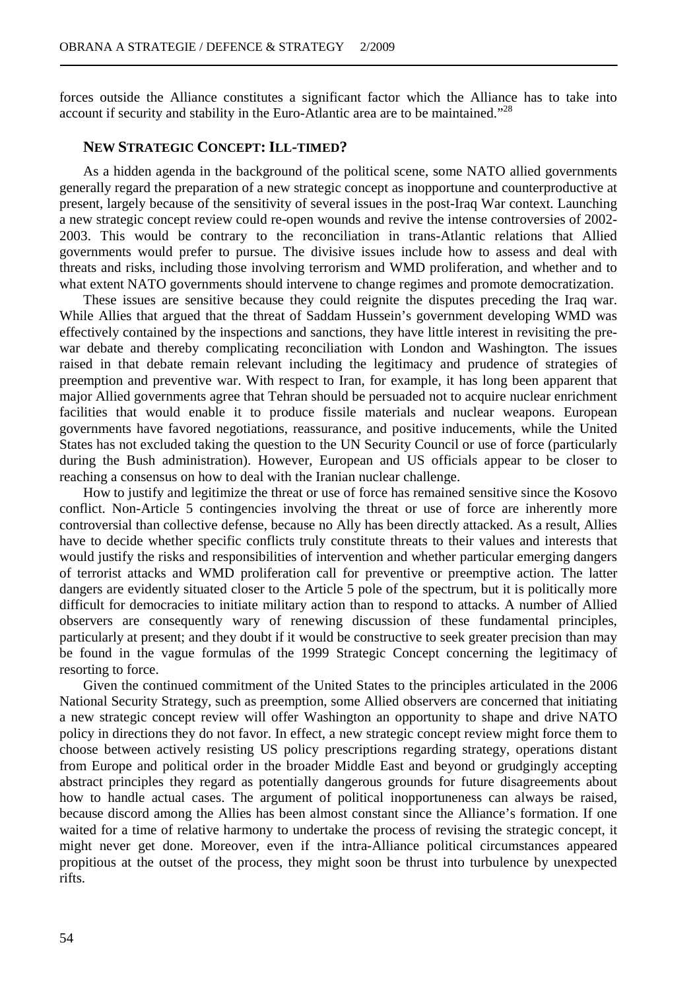forces outside the Alliance constitutes a significant factor which the Alliance has to take into account if security and stability in the Euro-Atlantic area are to be maintained."<sup>28</sup>

## **NEW STRATEGIC CONCEPT: ILL-TIMED?**

As a hidden agenda in the background of the political scene, some NATO allied governments generally regard the preparation of a new strategic concept as inopportune and counterproductive at present, largely because of the sensitivity of several issues in the post-Iraq War context. Launching a new strategic concept review could re-open wounds and revive the intense controversies of 2002- 2003. This would be contrary to the reconciliation in trans-Atlantic relations that Allied governments would prefer to pursue. The divisive issues include how to assess and deal with threats and risks, including those involving terrorism and WMD proliferation, and whether and to what extent NATO governments should intervene to change regimes and promote democratization.

These issues are sensitive because they could reignite the disputes preceding the Iraq war. While Allies that argued that the threat of Saddam Hussein's government developing WMD was effectively contained by the inspections and sanctions, they have little interest in revisiting the prewar debate and thereby complicating reconciliation with London and Washington. The issues raised in that debate remain relevant including the legitimacy and prudence of strategies of preemption and preventive war. With respect to Iran, for example, it has long been apparent that major Allied governments agree that Tehran should be persuaded not to acquire nuclear enrichment facilities that would enable it to produce fissile materials and nuclear weapons. European governments have favored negotiations, reassurance, and positive inducements, while the United States has not excluded taking the question to the UN Security Council or use of force (particularly during the Bush administration). However, European and US officials appear to be closer to reaching a consensus on how to deal with the Iranian nuclear challenge.

How to justify and legitimize the threat or use of force has remained sensitive since the Kosovo conflict. Non-Article 5 contingencies involving the threat or use of force are inherently more controversial than collective defense, because no Ally has been directly attacked. As a result, Allies have to decide whether specific conflicts truly constitute threats to their values and interests that would justify the risks and responsibilities of intervention and whether particular emerging dangers of terrorist attacks and WMD proliferation call for preventive or preemptive action. The latter dangers are evidently situated closer to the Article 5 pole of the spectrum, but it is politically more difficult for democracies to initiate military action than to respond to attacks. A number of Allied observers are consequently wary of renewing discussion of these fundamental principles, particularly at present; and they doubt if it would be constructive to seek greater precision than may be found in the vague formulas of the 1999 Strategic Concept concerning the legitimacy of resorting to force.

Given the continued commitment of the United States to the principles articulated in the 2006 National Security Strategy, such as preemption, some Allied observers are concerned that initiating a new strategic concept review will offer Washington an opportunity to shape and drive NATO policy in directions they do not favor. In effect, a new strategic concept review might force them to choose between actively resisting US policy prescriptions regarding strategy, operations distant from Europe and political order in the broader Middle East and beyond or grudgingly accepting abstract principles they regard as potentially dangerous grounds for future disagreements about how to handle actual cases. The argument of political inopportuneness can always be raised, because discord among the Allies has been almost constant since the Alliance's formation. If one waited for a time of relative harmony to undertake the process of revising the strategic concept, it might never get done. Moreover, even if the intra-Alliance political circumstances appeared propitious at the outset of the process, they might soon be thrust into turbulence by unexpected rifts.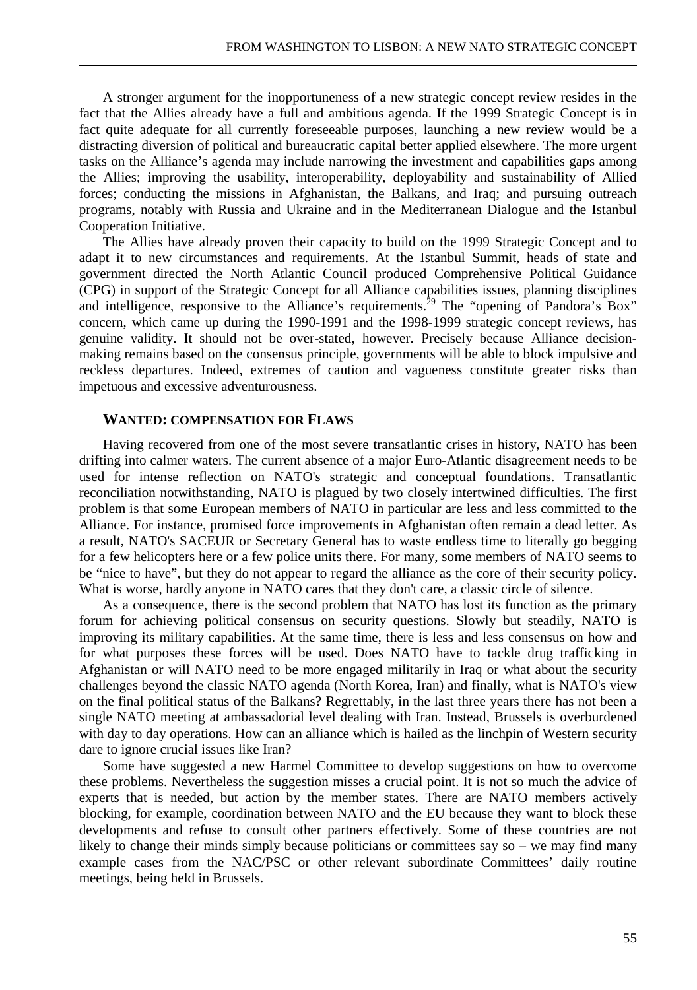A stronger argument for the inopportuneness of a new strategic concept review resides in the fact that the Allies already have a full and ambitious agenda. If the 1999 Strategic Concept is in fact quite adequate for all currently foreseeable purposes, launching a new review would be a distracting diversion of political and bureaucratic capital better applied elsewhere. The more urgent tasks on the Alliance's agenda may include narrowing the investment and capabilities gaps among the Allies; improving the usability, interoperability, deployability and sustainability of Allied forces; conducting the missions in Afghanistan, the Balkans, and Iraq; and pursuing outreach programs, notably with Russia and Ukraine and in the Mediterranean Dialogue and the Istanbul Cooperation Initiative.

The Allies have already proven their capacity to build on the 1999 Strategic Concept and to adapt it to new circumstances and requirements. At the Istanbul Summit, heads of state and government directed the North Atlantic Council produced Comprehensive Political Guidance (CPG) in support of the Strategic Concept for all Alliance capabilities issues, planning disciplines and intelligence, responsive to the Alliance's requirements.<sup>29</sup> The "opening of Pandora's Box" concern, which came up during the 1990-1991 and the 1998-1999 strategic concept reviews, has genuine validity. It should not be over-stated, however. Precisely because Alliance decisionmaking remains based on the consensus principle, governments will be able to block impulsive and reckless departures. Indeed, extremes of caution and vagueness constitute greater risks than impetuous and excessive adventurousness.

#### **WANTED: COMPENSATION FOR FLAWS**

Having recovered from one of the most severe transatlantic crises in history, NATO has been drifting into calmer waters. The current absence of a major Euro-Atlantic disagreement needs to be used for intense reflection on NATO's strategic and conceptual foundations. Transatlantic reconciliation notwithstanding, NATO is plagued by two closely intertwined difficulties. The first problem is that some European members of NATO in particular are less and less committed to the Alliance. For instance, promised force improvements in Afghanistan often remain a dead letter. As a result, NATO's SACEUR or Secretary General has to waste endless time to literally go begging for a few helicopters here or a few police units there. For many, some members of NATO seems to be "nice to have", but they do not appear to regard the alliance as the core of their security policy. What is worse, hardly anyone in NATO cares that they don't care, a classic circle of silence.

As a consequence, there is the second problem that NATO has lost its function as the primary forum for achieving political consensus on security questions. Slowly but steadily, NATO is improving its military capabilities. At the same time, there is less and less consensus on how and for what purposes these forces will be used. Does NATO have to tackle drug trafficking in Afghanistan or will NATO need to be more engaged militarily in Iraq or what about the security challenges beyond the classic NATO agenda (North Korea, Iran) and finally, what is NATO's view on the final political status of the Balkans? Regrettably, in the last three years there has not been a single NATO meeting at ambassadorial level dealing with Iran. Instead, Brussels is overburdened with day to day operations. How can an alliance which is hailed as the linchpin of Western security dare to ignore crucial issues like Iran?

Some have suggested a new Harmel Committee to develop suggestions on how to overcome these problems. Nevertheless the suggestion misses a crucial point. It is not so much the advice of experts that is needed, but action by the member states. There are NATO members actively blocking, for example, coordination between NATO and the EU because they want to block these developments and refuse to consult other partners effectively. Some of these countries are not likely to change their minds simply because politicians or committees say so – we may find many example cases from the NAC/PSC or other relevant subordinate Committees' daily routine meetings, being held in Brussels.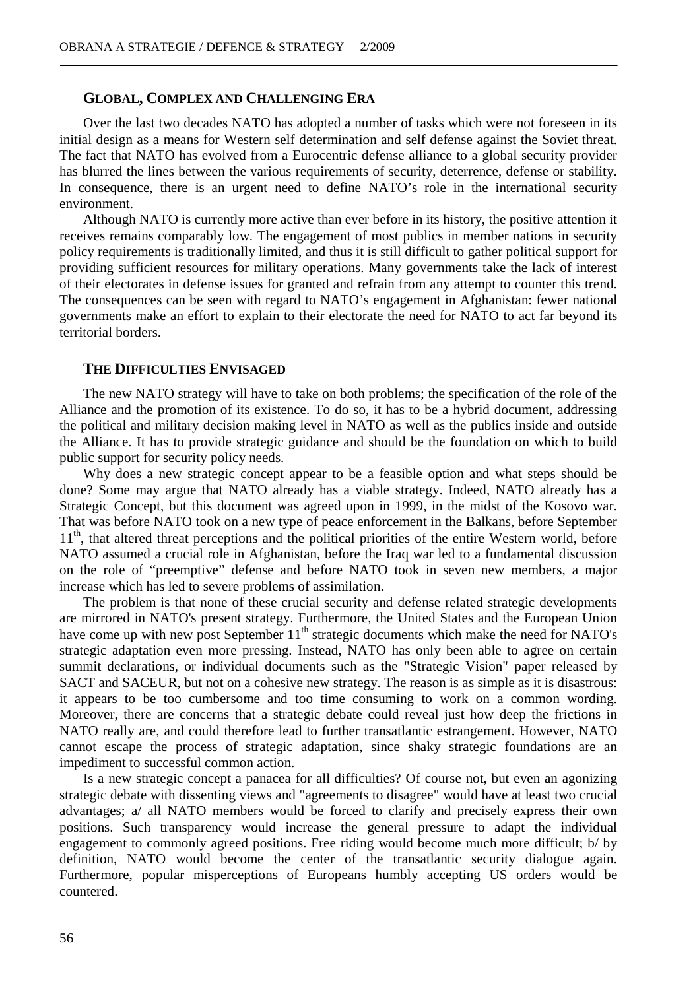## **GLOBAL, COMPLEX AND CHALLENGING ERA**

Over the last two decades NATO has adopted a number of tasks which were not foreseen in its initial design as a means for Western self determination and self defense against the Soviet threat. The fact that NATO has evolved from a Eurocentric defense alliance to a global security provider has blurred the lines between the various requirements of security, deterrence, defense or stability. In consequence, there is an urgent need to define NATO's role in the international security environment.

Although NATO is currently more active than ever before in its history, the positive attention it receives remains comparably low. The engagement of most publics in member nations in security policy requirements is traditionally limited, and thus it is still difficult to gather political support for providing sufficient resources for military operations. Many governments take the lack of interest of their electorates in defense issues for granted and refrain from any attempt to counter this trend. The consequences can be seen with regard to NATO's engagement in Afghanistan: fewer national governments make an effort to explain to their electorate the need for NATO to act far beyond its territorial borders.

#### **THE DIFFICULTIES ENVISAGED**

The new NATO strategy will have to take on both problems; the specification of the role of the Alliance and the promotion of its existence. To do so, it has to be a hybrid document, addressing the political and military decision making level in NATO as well as the publics inside and outside the Alliance. It has to provide strategic guidance and should be the foundation on which to build public support for security policy needs.

Why does a new strategic concept appear to be a feasible option and what steps should be done? Some may argue that NATO already has a viable strategy. Indeed, NATO already has a Strategic Concept, but this document was agreed upon in 1999, in the midst of the Kosovo war. That was before NATO took on a new type of peace enforcement in the Balkans, before September  $11<sup>th</sup>$ , that altered threat perceptions and the political priorities of the entire Western world, before NATO assumed a crucial role in Afghanistan, before the Iraq war led to a fundamental discussion on the role of "preemptive" defense and before NATO took in seven new members, a major increase which has led to severe problems of assimilation.

The problem is that none of these crucial security and defense related strategic developments are mirrored in NATO's present strategy. Furthermore, the United States and the European Union have come up with new post September 11<sup>th</sup> strategic documents which make the need for NATO's strategic adaptation even more pressing. Instead, NATO has only been able to agree on certain summit declarations, or individual documents such as the "Strategic Vision" paper released by SACT and SACEUR, but not on a cohesive new strategy. The reason is as simple as it is disastrous: it appears to be too cumbersome and too time consuming to work on a common wording. Moreover, there are concerns that a strategic debate could reveal just how deep the frictions in NATO really are, and could therefore lead to further transatlantic estrangement. However, NATO cannot escape the process of strategic adaptation, since shaky strategic foundations are an impediment to successful common action.

Is a new strategic concept a panacea for all difficulties? Of course not, but even an agonizing strategic debate with dissenting views and "agreements to disagree" would have at least two crucial advantages; a/ all NATO members would be forced to clarify and precisely express their own positions. Such transparency would increase the general pressure to adapt the individual engagement to commonly agreed positions. Free riding would become much more difficult; b/ by definition, NATO would become the center of the transatlantic security dialogue again. Furthermore, popular misperceptions of Europeans humbly accepting US orders would be countered.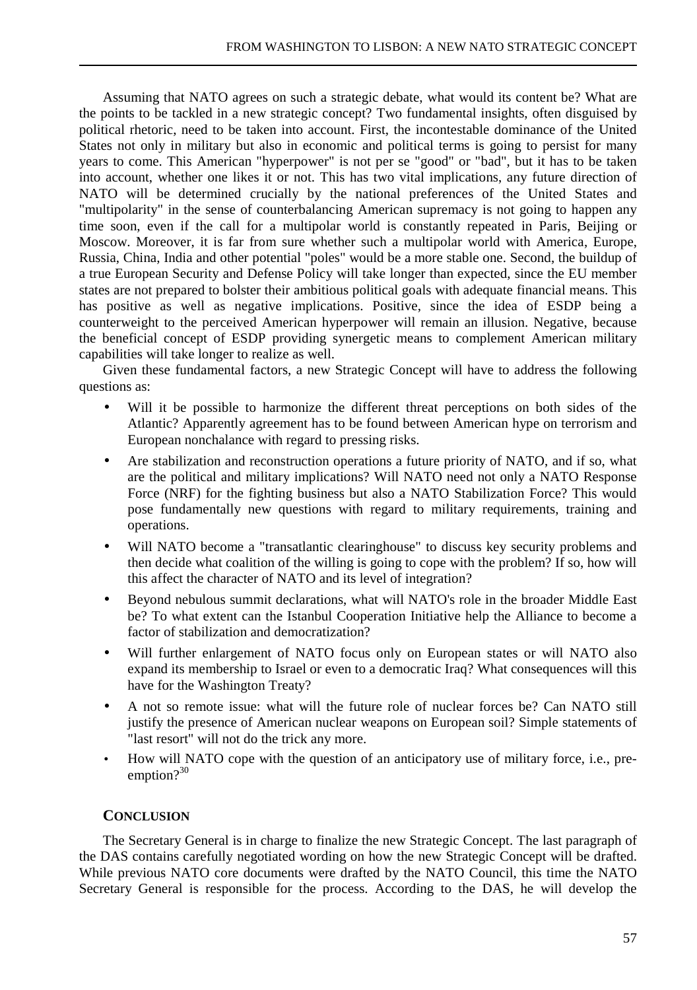Assuming that NATO agrees on such a strategic debate, what would its content be? What are the points to be tackled in a new strategic concept? Two fundamental insights, often disguised by political rhetoric, need to be taken into account. First, the incontestable dominance of the United States not only in military but also in economic and political terms is going to persist for many years to come. This American "hyperpower" is not per se "good" or "bad", but it has to be taken into account, whether one likes it or not. This has two vital implications, any future direction of NATO will be determined crucially by the national preferences of the United States and "multipolarity" in the sense of counterbalancing American supremacy is not going to happen any time soon, even if the call for a multipolar world is constantly repeated in Paris, Beijing or Moscow. Moreover, it is far from sure whether such a multipolar world with America, Europe, Russia, China, India and other potential "poles" would be a more stable one. Second, the buildup of a true European Security and Defense Policy will take longer than expected, since the EU member states are not prepared to bolster their ambitious political goals with adequate financial means. This has positive as well as negative implications. Positive, since the idea of ESDP being a counterweight to the perceived American hyperpower will remain an illusion. Negative, because the beneficial concept of ESDP providing synergetic means to complement American military capabilities will take longer to realize as well.

Given these fundamental factors, a new Strategic Concept will have to address the following questions as:

- Will it be possible to harmonize the different threat perceptions on both sides of the Atlantic? Apparently agreement has to be found between American hype on terrorism and European nonchalance with regard to pressing risks.
- Are stabilization and reconstruction operations a future priority of NATO, and if so, what are the political and military implications? Will NATO need not only a NATO Response Force (NRF) for the fighting business but also a NATO Stabilization Force? This would pose fundamentally new questions with regard to military requirements, training and operations.
- Will NATO become a "transatlantic clearinghouse" to discuss key security problems and then decide what coalition of the willing is going to cope with the problem? If so, how will this affect the character of NATO and its level of integration?
- Beyond nebulous summit declarations, what will NATO's role in the broader Middle East be? To what extent can the Istanbul Cooperation Initiative help the Alliance to become a factor of stabilization and democratization?
- Will further enlargement of NATO focus only on European states or will NATO also expand its membership to Israel or even to a democratic Iraq? What consequences will this have for the Washington Treaty?
- A not so remote issue: what will the future role of nuclear forces be? Can NATO still justify the presence of American nuclear weapons on European soil? Simple statements of "last resort" will not do the trick any more.
- How will NATO cope with the question of an anticipatory use of military force, i.e., preemption? $30$

## **CONCLUSION**

The Secretary General is in charge to finalize the new Strategic Concept. The last paragraph of the DAS contains carefully negotiated wording on how the new Strategic Concept will be drafted. While previous NATO core documents were drafted by the NATO Council, this time the NATO Secretary General is responsible for the process. According to the DAS, he will develop the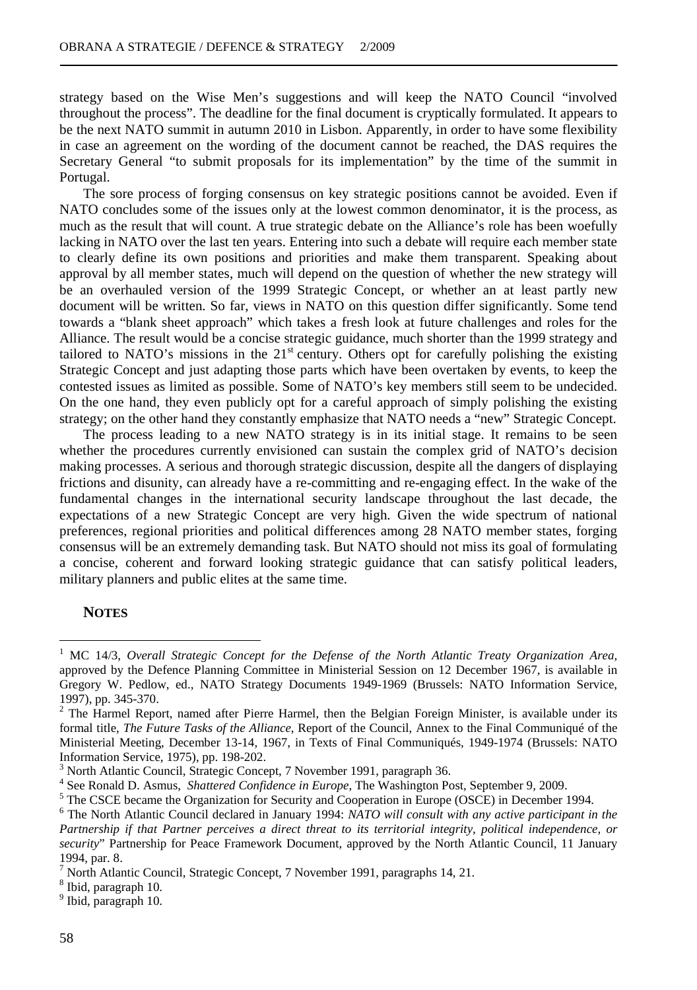strategy based on the Wise Men's suggestions and will keep the NATO Council "involved throughout the process". The deadline for the final document is cryptically formulated. It appears to be the next NATO summit in autumn 2010 in Lisbon. Apparently, in order to have some flexibility in case an agreement on the wording of the document cannot be reached, the DAS requires the Secretary General "to submit proposals for its implementation" by the time of the summit in Portugal.

The sore process of forging consensus on key strategic positions cannot be avoided. Even if NATO concludes some of the issues only at the lowest common denominator, it is the process, as much as the result that will count. A true strategic debate on the Alliance's role has been woefully lacking in NATO over the last ten years. Entering into such a debate will require each member state to clearly define its own positions and priorities and make them transparent. Speaking about approval by all member states, much will depend on the question of whether the new strategy will be an overhauled version of the 1999 Strategic Concept, or whether an at least partly new document will be written. So far, views in NATO on this question differ significantly. Some tend towards a "blank sheet approach" which takes a fresh look at future challenges and roles for the Alliance. The result would be a concise strategic guidance, much shorter than the 1999 strategy and tailored to NATO's missions in the  $21<sup>st</sup>$  century. Others opt for carefully polishing the existing Strategic Concept and just adapting those parts which have been overtaken by events, to keep the contested issues as limited as possible. Some of NATO's key members still seem to be undecided. On the one hand, they even publicly opt for a careful approach of simply polishing the existing strategy; on the other hand they constantly emphasize that NATO needs a "new" Strategic Concept.

The process leading to a new NATO strategy is in its initial stage. It remains to be seen whether the procedures currently envisioned can sustain the complex grid of NATO's decision making processes. A serious and thorough strategic discussion, despite all the dangers of displaying frictions and disunity, can already have a re-committing and re-engaging effect. In the wake of the fundamental changes in the international security landscape throughout the last decade, the expectations of a new Strategic Concept are very high. Given the wide spectrum of national preferences, regional priorities and political differences among 28 NATO member states, forging consensus will be an extremely demanding task. But NATO should not miss its goal of formulating a concise, coherent and forward looking strategic guidance that can satisfy political leaders, military planners and public elites at the same time.

## **NOTES**

 $\overline{a}$ 

<sup>1</sup> MC 14/3, *Overall Strategic Concept for the Defense of the North Atlantic Treaty Organization Area,* approved by the Defence Planning Committee in Ministerial Session on 12 December 1967, is available in Gregory W. Pedlow, ed., NATO Strategy Documents 1949-1969 (Brussels: NATO Information Service, 1997), pp. 345-370.

 $2$  The Harmel Report, named after Pierre Harmel, then the Belgian Foreign Minister, is available under its formal title, *The Future Tasks of the Alliance*, Report of the Council, Annex to the Final Communiqué of the Ministerial Meeting, December 13-14, 1967, in Texts of Final Communiqués, 1949-1974 (Brussels: NATO Information Service, 1975), pp. 198-202.

<sup>&</sup>lt;sup>3</sup> North Atlantic Council, Strategic Concept, 7 November 1991, paragraph 36.

<sup>4</sup> See Ronald D. Asmus, *Shattered Confidence in Europe*, The Washington Post, September 9, 2009.

 $<sup>5</sup>$  The CSCE became the Organization for Security and Cooperation in Europe (OSCE) in December 1994.</sup>

<sup>6</sup> The North Atlantic Council declared in January 1994: *NATO will consult with any active participant in the Partnership if that Partner perceives a direct threat to its territorial integrity, political independence, or security*" Partnership for Peace Framework Document, approved by the North Atlantic Council, 11 January 1994, par. 8.

<sup>&</sup>lt;sup>7</sup> North Atlantic Council, Strategic Concept, 7 November 1991, paragraphs 14, 21.

<sup>8</sup> Ibid, paragraph 10.

<sup>9</sup> Ibid, paragraph 10.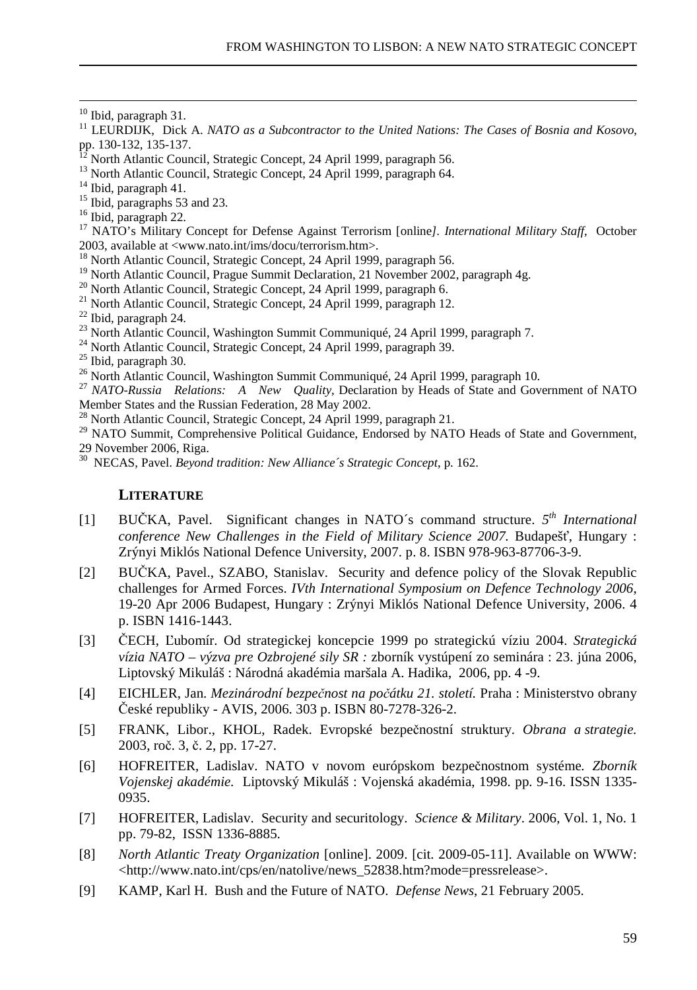$\overline{a}$ 

- <sup>12</sup> North Atlantic Council, Strategic Concept, 24 April 1999, paragraph 56.
- <sup>13</sup> North Atlantic Council, Strategic Concept, 24 April 1999, paragraph 64.

- <sup>15</sup> Ibid, paragraphs 53 and 23.
- <sup>16</sup> Ibid, paragraph 22.

<sup>17</sup> NATO's Military Concept for Defense Against Terrorism [online*]. International Military Staff*, October 2003, available at <www.nato.int/ims/docu/terrorism.htm>.

- <sup>18</sup> North Atlantic Council, Strategic Concept, 24 April 1999, paragraph 56.
- <sup>19</sup> North Atlantic Council, Prague Summit Declaration, 21 November 2002, paragraph 4g.
- <sup>20</sup> North Atlantic Council, Strategic Concept, 24 April 1999, paragraph 6.
- <sup>21</sup> North Atlantic Council, Strategic Concept, 24 April 1999, paragraph 12.
- <sup>22</sup> Ibid, paragraph 24.
- <sup>23</sup> North Atlantic Council, Washington Summit Communiqué, 24 April 1999, paragraph 7.
- <sup>24</sup> North Atlantic Council, Strategic Concept, 24 April 1999, paragraph 39.
- <sup>25</sup> Ibid, paragraph 30.
- <sup>26</sup> North Atlantic Council, Washington Summit Communiqué, 24 April 1999, paragraph 10.
- <sup>27</sup> *NATO-Russia Relations: A New Quality*, Declaration by Heads of State and Government of NATO Member States and the Russian Federation, 28 May 2002.
- <sup>28</sup> North Atlantic Council, Strategic Concept, 24 April 1999, paragraph 21.

<sup>29</sup> NATO Summit, Comprehensive Political Guidance, Endorsed by NATO Heads of State and Government, 29 November 2006, Riga.

<sup>30</sup> NECAS, Pavel. *Beyond tradition: New Alliance´s Strategic Concept*, p. 162.

#### **LITERATURE**

- [1] BUČKA, Pavel. Significant changes in NATO´s command structure. *5 th International conference New Challenges in the Field of Military Science 2007.* Budapešť, Hungary : Zrýnyi Miklós National Defence University, 2007. p. 8. ISBN 978-963-87706-3-9.
- [2] BUČKA, Pavel., SZABO, Stanislav. Security and defence policy of the Slovak Republic challenges for Armed Forces. *IVth International Symposium on Defence Technology 2006*, 19-20 Apr 2006 Budapest, Hungary : Zrýnyi Miklós National Defence University, 2006. 4 p. ISBN 1416-1443.
- [3] ČECH, Ľubomír. Od strategickej koncepcie 1999 po strategickú víziu 2004. *Strategická vízia NATO – výzva pre Ozbrojené sily SR :* zborník vystúpení zo seminára : 23. júna 2006, Liptovský Mikuláš : Národná akadémia maršala A. Hadika, 2006, pp. 4 -9.
- [4] EICHLER, Jan. *Mezinárodní bezpečnost na počátku 21. století.* Praha : Ministerstvo obrany České republiky - AVIS, 2006. 303 p. ISBN 80-7278-326-2.
- [5] FRANK, Libor., KHOL, Radek. Evropské bezpečnostní struktury. *Obrana a strategie.* 2003, roč. 3, č. 2, pp. 17-27.
- [6] HOFREITER, Ladislav. NATO v novom európskom bezpečnostnom systéme*. Zborník Vojenskej akadémie.* Liptovský Mikuláš : Vojenská akadémia, 1998. pp. 9-16. ISSN 1335- 0935.
- [7] HOFREITER, Ladislav. Security and securitology. *Science & Military*. 2006, Vol. 1, No. 1 pp. 79-82, ISSN 1336-8885.
- [8] *North Atlantic Treaty Organization* [online]. 2009. [cit. 2009-05-11]. Available on WWW: <http://www.nato.int/cps/en/natolive/news\_52838.htm?mode=pressrelease>.
- [9] KAMP, Karl H. Bush and the Future of NATO. *Defense News*, 21 February 2005.

<sup>&</sup>lt;sup>10</sup> Ibid, paragraph 31.

<sup>11</sup> LEURDIJK, Dick A. *NATO as a Subcontractor to the United Nations: The Cases of Bosnia and Kosovo*, pp. 130-132, 135-137.

<sup>14</sup> Ibid, paragraph 41.